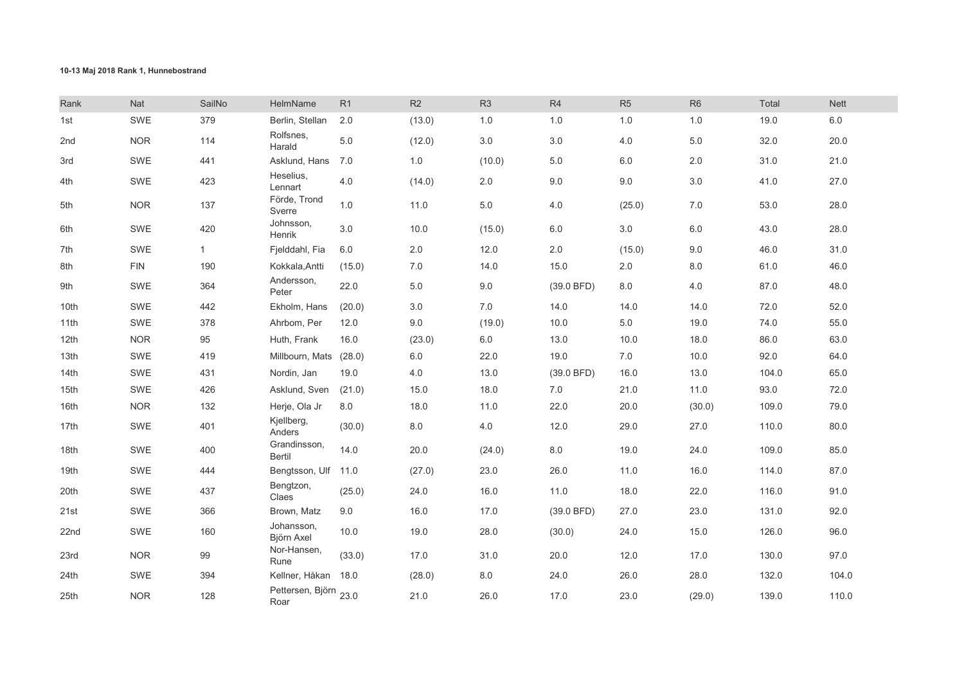## 10-13 Maj 2018 Rank 1, Hunnebostrand

| Rank | Nat        | SailNo       | HelmName                      | R1      | R2      | R <sub>3</sub> | R <sub>4</sub> | R <sub>5</sub> | R <sub>6</sub> | Total | <b>Nett</b> |
|------|------------|--------------|-------------------------------|---------|---------|----------------|----------------|----------------|----------------|-------|-------------|
| 1st  | SWE        | 379          | Berlin, Stellan               | 2.0     | (13.0)  | 1.0            | 1.0            | 1.0            | $1.0\,$        | 19.0  | 6.0         |
| 2nd  | <b>NOR</b> | 114          | Rolfsnes,<br>Harald           | 5.0     | (12.0)  | $3.0\,$        | $3.0\,$        | 4.0            | 5.0            | 32.0  | 20.0        |
| 3rd  | SWE        | 441          | Asklund, Hans                 | 7.0     | 1.0     | (10.0)         | $5.0$          | 6.0            | 2.0            | 31.0  | 21.0        |
| 4th  | SWE        | 423          | Heselius,<br>Lennart          | 4.0     | (14.0)  | 2.0            | $9.0\,$        | $9.0\,$        | 3.0            | 41.0  | 27.0        |
| 5th  | <b>NOR</b> | 137          | Förde, Trond<br>Sverre        | 1.0     | 11.0    | $5.0\,$        | 4.0            | (25.0)         | 7.0            | 53.0  | 28.0        |
| 6th  | SWE        | 420          | Johnsson,<br>Henrik           | 3.0     | 10.0    | (15.0)         | 6.0            | $3.0\,$        | 6.0            | 43.0  | 28.0        |
| 7th  | SWE        | $\mathbf{1}$ | Fjelddahl, Fia                | $6.0\,$ | $2.0\,$ | 12.0           | 2.0            | (15.0)         | 9.0            | 46.0  | 31.0        |
| 8th  | <b>FIN</b> | 190          | Kokkala, Antti                | (15.0)  | 7.0     | 14.0           | 15.0           | 2.0            | 8.0            | 61.0  | 46.0        |
| 9th  | SWE        | 364          | Andersson,<br>Peter           | 22.0    | 5.0     | $9.0\,$        | (39.0 BFD)     | 8.0            | 4.0            | 87.0  | 48.0        |
| 10th | SWE        | 442          | Ekholm, Hans                  | (20.0)  | 3.0     | $7.0\,$        | 14.0           | 14.0           | 14.0           | 72.0  | 52.0        |
| 11th | <b>SWE</b> | 378          | Ahrbom, Per                   | 12.0    | 9.0     | (19.0)         | 10.0           | 5.0            | 19.0           | 74.0  | 55.0        |
| 12th | <b>NOR</b> | 95           | Huth, Frank                   | 16.0    | (23.0)  | $6.0\,$        | 13.0           | 10.0           | 18.0           | 86.0  | 63.0        |
| 13th | SWE        | 419          | Millbourn, Mats               | (28.0)  | $6.0\,$ | 22.0           | 19.0           | 7.0            | 10.0           | 92.0  | 64.0        |
| 14th | SWE        | 431          | Nordin, Jan                   | 19.0    | 4.0     | 13.0           | (39.0 BFD)     | 16.0           | 13.0           | 104.0 | 65.0        |
| 15th | SWE        | 426          | Asklund, Sven                 | (21.0)  | 15.0    | 18.0           | 7.0            | 21.0           | 11.0           | 93.0  | 72.0        |
| 16th | <b>NOR</b> | 132          | Herje, Ola Jr                 | 8.0     | 18.0    | 11.0           | 22.0           | 20.0           | (30.0)         | 109.0 | 79.0        |
| 17th | SWE        | 401          | Kjellberg,<br>Anders          | (30.0)  | $8.0\,$ | 4.0            | 12.0           | 29.0           | 27.0           | 110.0 | 80.0        |
| 18th | SWE        | 400          | Grandinsson,<br>Bertil        | 14.0    | 20.0    | (24.0)         | 8.0            | 19.0           | 24.0           | 109.0 | 85.0        |
| 19th | SWE        | 444          | Bengtsson, Ulf 11.0           |         | (27.0)  | 23.0           | 26.0           | 11.0           | 16.0           | 114.0 | 87.0        |
| 20th | SWE        | 437          | Bengtzon,<br>Claes            | (25.0)  | 24.0    | 16.0           | 11.0           | 18.0           | 22.0           | 116.0 | 91.0        |
| 21st | SWE        | 366          | Brown, Matz                   | 9.0     | 16.0    | 17.0           | (39.0 BFD)     | 27.0           | 23.0           | 131.0 | 92.0        |
| 22nd | SWE        | 160          | Johansson,<br>Björn Axel      | 10.0    | 19.0    | 28.0           | (30.0)         | 24.0           | 15.0           | 126.0 | 96.0        |
| 23rd | <b>NOR</b> | 99           | Nor-Hansen,<br>Rune           | (33.0)  | 17.0    | 31.0           | 20.0           | 12.0           | 17.0           | 130.0 | 97.0        |
| 24th | SWE        | 394          | Kellner, Håkan                | 18.0    | (28.0)  | $8.0\,$        | 24.0           | 26.0           | 28.0           | 132.0 | 104.0       |
| 25th | <b>NOR</b> | 128          | Pettersen, Björn 23.0<br>Roar |         | 21.0    | 26.0           | 17.0           | 23.0           | (29.0)         | 139.0 | 110.0       |